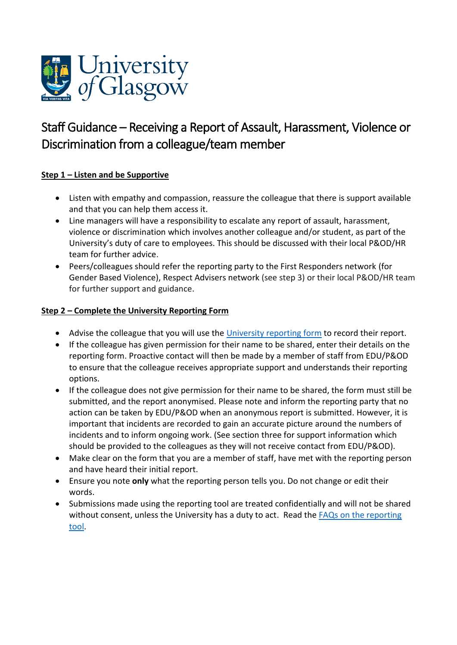

# Staff Guidance – Receiving a Report of Assault, Harassment, Violence or Discrimination from a colleague/team member

# **Step 1 – Listen and be Supportive**

- Listen with empathy and compassion, reassure the colleague that there is support available and that you can help them access it.
- Line managers will have a responsibility to escalate any report of assault, harassment, violence or discrimination which involves another colleague and/or student, as part of the University's duty of care to employees. This should be discussed with their local P&OD/HR team for further advice.
- Peers/colleagues should refer the reporting party to the First Responders network (for Gender Based Violence), Respect Advisers network (see step 3) or their local P&OD/HR team for further support and guidance.

#### **Step 2 – Complete the University Reporting Form**

- Advise the colleague that you will use the [University reporting](https://www.gla.ac.uk/myglasgow/humanresources/equalitydiversity/dignityworkstudyover/reportbullyingdiscriminationorharassment-staff/) form to record their report.
- If the colleague has given permission for their name to be shared, enter their details on the reporting form. Proactive contact will then be made by a member of staff from EDU/P&OD to ensure that the colleague receives appropriate support and understands their reporting options.
- If the colleague does not give permission for their name to be shared, the form must still be submitted, and the report anonymised. Please note and inform the reporting party that no action can be taken by EDU/P&OD when an anonymous report is submitted. However, it is important that incidents are recorded to gain an accurate picture around the numbers of incidents and to inform ongoing work. (See section three for support information which should be provided to the colleagues as they will not receive contact from EDU/P&OD).
- Make clear on the form that you are a member of staff, have met with the reporting person and have heard their initial report.
- Ensure you note **only** what the reporting person tells you. Do not change or edit their words.
- Submissions made using the reporting tool are treated confidentially and will not be shared without consent, unless the University has a duty to act. Read the [FAQs on the reporting](https://www.gla.ac.uk/myglasgow/humanresources/equalitydiversity/dignityworkstudyover/reportbullyingdiscriminationorharassment-staff/faqs/#willtheinformationisharebekeptconfidential%3F)  [tool.](https://www.gla.ac.uk/myglasgow/humanresources/equalitydiversity/dignityworkstudyover/reportbullyingdiscriminationorharassment-staff/faqs/#willtheinformationisharebekeptconfidential%3F)